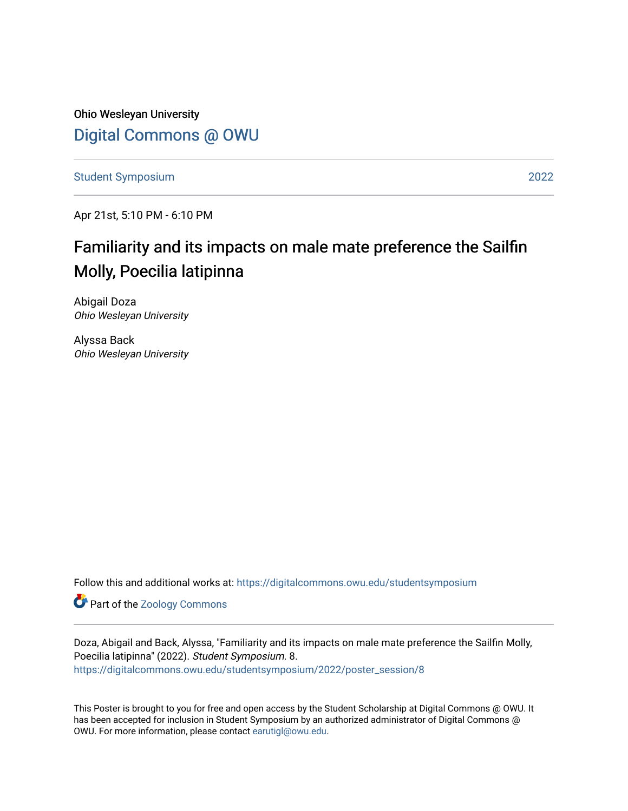Ohio Wesleyan University [Digital Commons @ OWU](https://digitalcommons.owu.edu/) 

[Student Symposium](https://digitalcommons.owu.edu/studentsymposium) [2022](https://digitalcommons.owu.edu/studentsymposium/2022) 

Apr 21st, 5:10 PM - 6:10 PM

### Familiarity and its impacts on male mate preference the Sailfin Molly, Poecilia latipinna

Abigail Doza Ohio Wesleyan University

Alyssa Back Ohio Wesleyan University

Follow this and additional works at: [https://digitalcommons.owu.edu/studentsymposium](https://digitalcommons.owu.edu/studentsymposium?utm_source=digitalcommons.owu.edu%2Fstudentsymposium%2F2022%2Fposter_session%2F8&utm_medium=PDF&utm_campaign=PDFCoverPages)

Part of the [Zoology Commons](http://network.bepress.com/hgg/discipline/81?utm_source=digitalcommons.owu.edu%2Fstudentsymposium%2F2022%2Fposter_session%2F8&utm_medium=PDF&utm_campaign=PDFCoverPages) 

Doza, Abigail and Back, Alyssa, "Familiarity and its impacts on male mate preference the Sailfin Molly, Poecilia latipinna" (2022). Student Symposium. 8. [https://digitalcommons.owu.edu/studentsymposium/2022/poster\\_session/8](https://digitalcommons.owu.edu/studentsymposium/2022/poster_session/8?utm_source=digitalcommons.owu.edu%2Fstudentsymposium%2F2022%2Fposter_session%2F8&utm_medium=PDF&utm_campaign=PDFCoverPages) 

This Poster is brought to you for free and open access by the Student Scholarship at Digital Commons @ OWU. It has been accepted for inclusion in Student Symposium by an authorized administrator of Digital Commons @ OWU. For more information, please contact [earutigl@owu.edu.](mailto:earutigl@owu.edu)